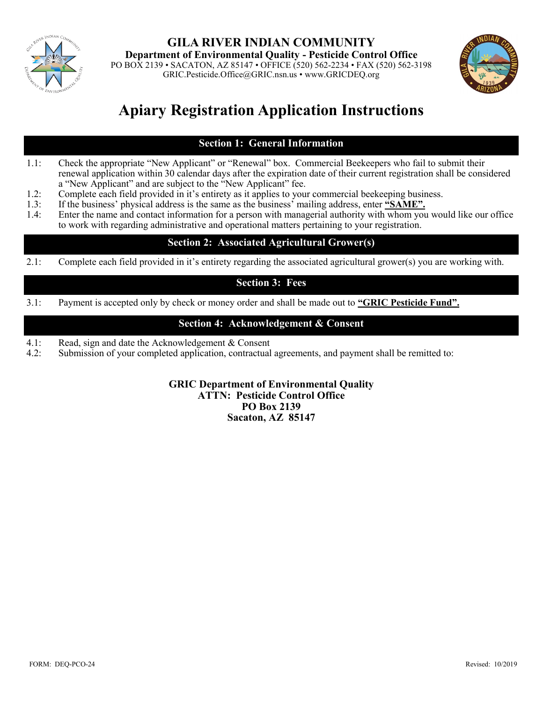

**GILA RIVER INDIAN COMMUNITY Department of Environmental Quality - Pesticide Control Office** PO BOX 2139 • SACATON, AZ 85147 • OFFICE (520) 562-2234 • FAX (520) 562-3198 GRIC.Pesticide.Office@GRIC.nsn.us • www.GRICDEQ.org



## **Apiary Registration Application Instructions**

## **Section 1: General Information**

- 1.1: Check the appropriate "New Applicant" or "Renewal" box. Commercial Beekeepers who fail to submit their renewal application within 30 calendar days after the expiration date of their current registration shall be considered a "New Applicant" and are subject to the "New Applicant" fee.
- 1.2: Complete each field provided in it's entirety as it applies to your commercial beekeeping business.
- 1.3: If the business' physical address is the same as the business' mailing address, enter **"SAME".**<br>1.4: Enter the name and contact information for a person with managerial authority with whom you
- Enter the name and contact information for a person with managerial authority with whom you would like our office to work with regarding administrative and operational matters pertaining to your registration.

## **Section 2: Associated Agricultural Grower(s)**

2.1: Complete each field provided in it's entirety regarding the associated agricultural grower(s) you are working with.

### **Section 3: Fees**

3.1: Payment is accepted only by check or money order and shall be made out to **"GRIC Pesticide Fund".**

### **Section 4: Acknowledgement & Consent**

- 4.1: Read, sign and date the Acknowledgement & Consent
- 4.2: Submission of your completed application, contractual agreements, and payment shall be remitted to:

#### **GRIC Department of Environmental Quality ATTN: Pesticide Control Office PO Box 2139 Sacaton, AZ 85147**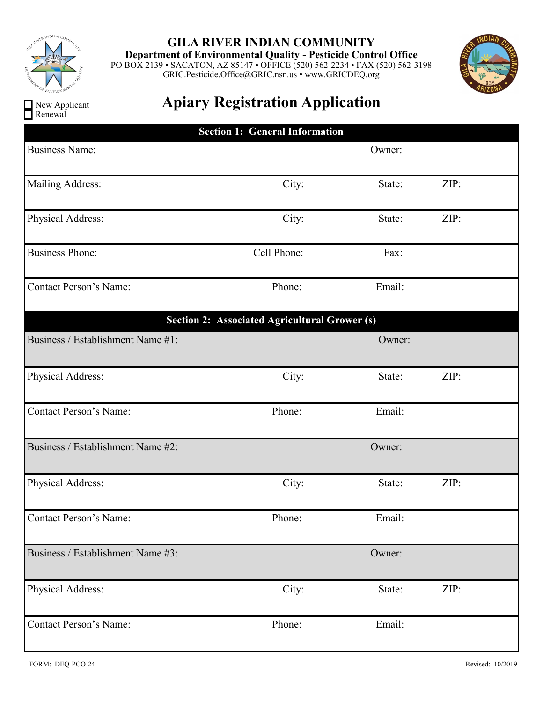

New Applicant Renewal

# **GILA RIVER INDIAN COMMUNITY**

**Department of Environmental Quality - Pesticide Control Office** PO BOX 2139 • SACATON, AZ 85147 • OFFICE (520) 562-2234 • FAX (520) 562-3198 GRIC.Pesticide.Office@GRIC.nsn.us • www.GRICDEQ.org



# **Apiary Registration Application**

| <b>Section 1: General Information</b>                |             |        |      |  |  |  |  |
|------------------------------------------------------|-------------|--------|------|--|--|--|--|
| <b>Business Name:</b>                                |             | Owner: |      |  |  |  |  |
| Mailing Address:                                     | City:       | State: | ZIP: |  |  |  |  |
| Physical Address:                                    | City:       | State: | ZIP: |  |  |  |  |
| <b>Business Phone:</b>                               | Cell Phone: | Fax:   |      |  |  |  |  |
| <b>Contact Person's Name:</b>                        | Phone:      | Email: |      |  |  |  |  |
| <b>Section 2: Associated Agricultural Grower (s)</b> |             |        |      |  |  |  |  |
| Business / Establishment Name #1:                    |             | Owner: |      |  |  |  |  |
| Physical Address:                                    | City:       | State: | ZIP: |  |  |  |  |
| <b>Contact Person's Name:</b>                        | Phone:      | Email: |      |  |  |  |  |
| Business / Establishment Name #2:                    |             | Owner: |      |  |  |  |  |
| Physical Address:                                    | City:       | State: | ZIP: |  |  |  |  |
| <b>Contact Person's Name:</b>                        | Phone:      | Email: |      |  |  |  |  |
| Business / Establishment Name #3:                    |             | Owner: |      |  |  |  |  |
| Physical Address:                                    | City:       | State: | ZIP: |  |  |  |  |
| <b>Contact Person's Name:</b>                        | Phone:      | Email: |      |  |  |  |  |